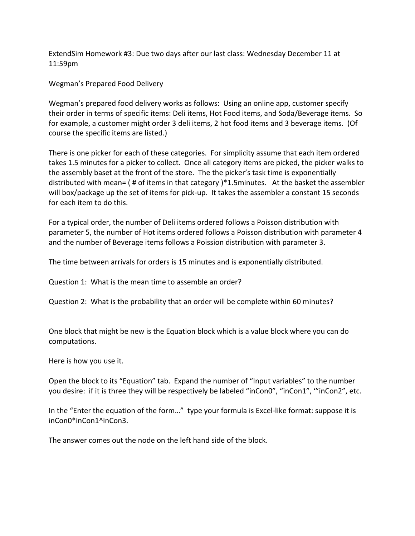ExtendSim Homework #3: Due two days after our last class: Wednesday December 11 at 11:59pm

Wegman's Prepared Food Delivery

Wegman's prepared food delivery works as follows: Using an online app, customer specify their order in terms of specific items: Deli items, Hot Food items, and Soda/Beverage items. So for example, a customer might order 3 deli items, 2 hot food items and 3 beverage items. (Of course the specific items are listed.)

There is one picker for each of these categories. For simplicity assume that each item ordered takes 1.5 minutes for a picker to collect. Once all category items are picked, the picker walks to the assembly baset at the front of the store. The the picker's task time is exponentially distributed with mean=  $($  # of items in that category  $)*1.5$ minutes. At the basket the assembler will box/package up the set of items for pick-up. It takes the assembler a constant 15 seconds for each item to do this.

For a typical order, the number of Deli items ordered follows a Poisson distribution with parameter 5, the number of Hot items ordered follows a Poisson distribution with parameter 4 and the number of Beverage items follows a Poission distribution with parameter 3.

The time between arrivals for orders is 15 minutes and is exponentially distributed.

Question 1: What is the mean time to assemble an order?

Question 2: What is the probability that an order will be complete within 60 minutes?

One block that might be new is the Equation block which is a value block where you can do computations. 

Here is how you use it.

Open the block to its "Equation" tab. Expand the number of "Input variables" to the number you desire: if it is three they will be respectively be labeled "inCon0", "inCon1", "'inCon2", etc.

In the "Enter the equation of the form..." type your formula is Excel-like format: suppose it is inCon0\*inCon1^inCon3.

The answer comes out the node on the left hand side of the block.